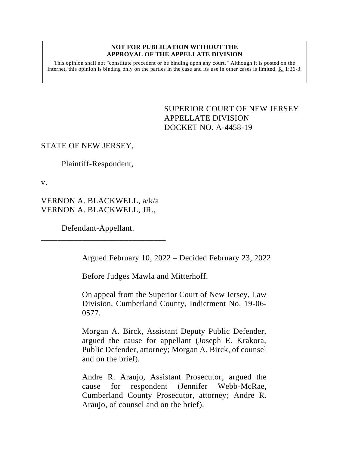#### **NOT FOR PUBLICATION WITHOUT THE APPROVAL OF THE APPELLATE DIVISION**

This opinion shall not "constitute precedent or be binding upon any court." Although it is posted on the internet, this opinion is binding only on the parties in the case and its use in other cases is limited.  $R_1$  1:36-3.

> <span id="page-0-0"></span>SUPERIOR COURT OF NEW JERSEY APPELLATE DIVISION DOCKET NO. A-4458-19

# STATE OF NEW JERSEY,

Plaintiff-Respondent,

v.

VERNON A. BLACKWELL, a/k/a VERNON A. BLACKWELL, JR.,

Defendant-Appellant.

\_\_\_\_\_\_\_\_\_\_\_\_\_\_\_\_\_\_\_\_\_\_\_\_\_\_\_\_\_\_

Argued February 10, 2022 – Decided February 23, 2022

Before Judges Mawla and Mitterhoff.

On appeal from the Superior Court of New Jersey, Law Division, Cumberland County, Indictment No. 19-06- 0577.

Morgan A. Birck, Assistant Deputy Public Defender, argued the cause for appellant (Joseph E. Krakora, Public Defender, attorney; Morgan A. Birck, of counsel and on the brief).

Andre R. Araujo, Assistant Prosecutor, argued the cause for respondent (Jennifer Webb-McRae, Cumberland County Prosecutor, attorney; Andre R. Araujo, of counsel and on the brief).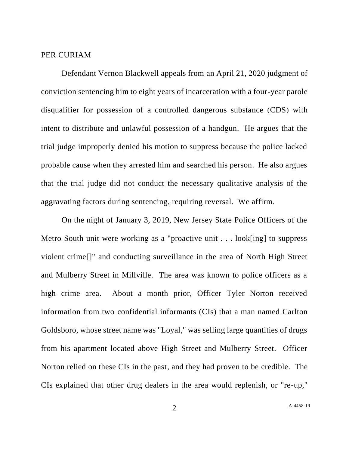### PER CURIAM

Defendant Vernon Blackwell appeals from an April 21, 2020 judgment of conviction sentencing him to eight years of incarceration with a four-year parole disqualifier for possession of a controlled dangerous substance (CDS) with intent to distribute and unlawful possession of a handgun. He argues that the trial judge improperly denied his motion to suppress because the police lacked probable cause when they arrested him and searched his person. He also argues that the trial judge did not conduct the necessary qualitative analysis of the aggravating factors during sentencing, requiring reversal. We affirm.

On the night of January 3, 2019, New Jersey State Police Officers of the Metro South unit were working as a "proactive unit . . . look[ing] to suppress violent crime[]" and conducting surveillance in the area of North High Street and Mulberry Street in Millville. The area was known to police officers as a high crime area. About a month prior, Officer Tyler Norton received information from two confidential informants (CIs) that a man named Carlton Goldsboro, whose street name was "Loyal," was selling large quantities of drugs from his apartment located above High Street and Mulberry Street. Officer Norton relied on these CIs in the past, and they had proven to be credible. The CIs explained that other drug dealers in the area would replenish, or "re-up,"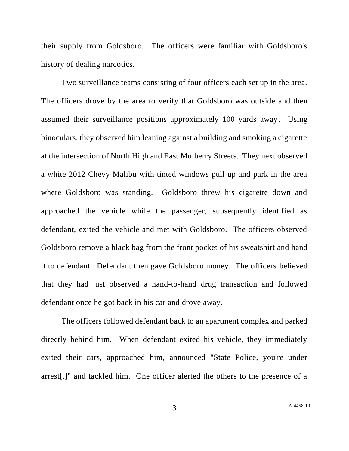their supply from Goldsboro. The officers were familiar with Goldsboro's history of dealing narcotics.

Two surveillance teams consisting of four officers each set up in the area. The officers drove by the area to verify that Goldsboro was outside and then assumed their surveillance positions approximately 100 yards away. Using binoculars, they observed him leaning against a building and smoking a cigarette at the intersection of North High and East Mulberry Streets. They next observed a white 2012 Chevy Malibu with tinted windows pull up and park in the area where Goldsboro was standing. Goldsboro threw his cigarette down and approached the vehicle while the passenger, subsequently identified as defendant, exited the vehicle and met with Goldsboro. The officers observed Goldsboro remove a black bag from the front pocket of his sweatshirt and hand it to defendant. Defendant then gave Goldsboro money. The officers believed that they had just observed a hand-to-hand drug transaction and followed defendant once he got back in his car and drove away.

The officers followed defendant back to an apartment complex and parked directly behind him. When defendant exited his vehicle, they immediately exited their cars, approached him, announced "State Police, you're under arrest[,]" and tackled him. One officer alerted the others to the presence of a

3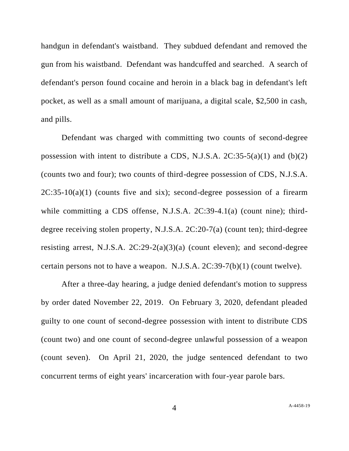handgun in defendant's waistband. They subdued defendant and removed the gun from his waistband. Defendant was handcuffed and searched. A search of defendant's person found cocaine and heroin in a black bag in defendant's left pocket, as well as a small amount of marijuana, a digital scale, \$2,500 in cash, and pills.

Defendant was charged with committing two counts of second-degree possession with intent to distribute a CDS, N.J.S.A.  $2C:35-5(a)(1)$  and  $(b)(2)$ (counts two and four); two counts of third-degree possession of CDS, N.J.S.A.  $2C:35-10(a)(1)$  (counts five and six); second-degree possession of a firearm while committing a CDS offense, N.J.S.A. 2C:39-4.1(a) (count nine); thirddegree receiving stolen property, N.J.S.A. 2C:20-7(a) (count ten); third-degree resisting arrest, N.J.S.A. 2C:29-2(a)(3)(a) (count eleven); and second-degree certain persons not to have a weapon. N.J.S.A. 2C:39-7(b)(1) (count twelve).

After a three-day hearing, a judge denied defendant's motion to suppress by order dated November 22, 2019. On February 3, 2020, defendant pleaded guilty to one count of second-degree possession with intent to distribute CDS (count two) and one count of second-degree unlawful possession of a weapon (count seven). On April 21, 2020, the judge sentenced defendant to two concurrent terms of eight years' incarceration with four-year parole bars.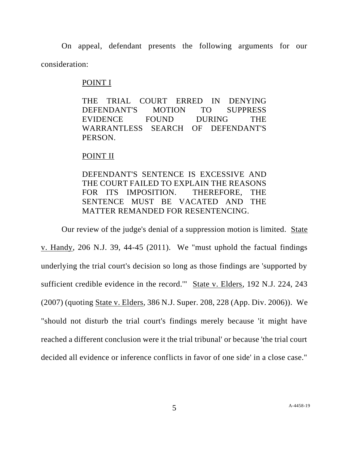On appeal, defendant presents the following arguments for our consideration:

### POINT I

THE TRIAL COURT ERRED IN DENYING DEFENDANT'S MOTION TO SUPPRESS EVIDENCE FOUND DURING THE WARRANTLESS SEARCH OF DEFENDANT'S PERSON.

# POINT II

DEFENDANT'S SENTENCE IS EXCESSIVE AND THE COURT FAILED TO EXPLAIN THE REASONS FOR ITS IMPOSITION. THEREFORE, THE SENTENCE MUST BE VACATED AND THE MATTER REMANDED FOR RESENTENCING.

Our review of the judge's denial of a suppression motion is limited. State v. Handy, 206 N.J. 39, 44-45 (2011). We "must uphold the factual findings underlying the trial court's decision so long as those findings are 'supported by sufficient credible evidence in the record.'" State v. Elders, 192 N.J. 224, 243 (2007) (quoting State v. Elders, 386 N.J. Super. 208, 228 (App. Div. 2006)). We "should not disturb the trial court's findings merely because 'it might have reached a different conclusion were it the trial tribunal' or because 'the trial court decided all evidence or inference conflicts in favor of one side' in a close case."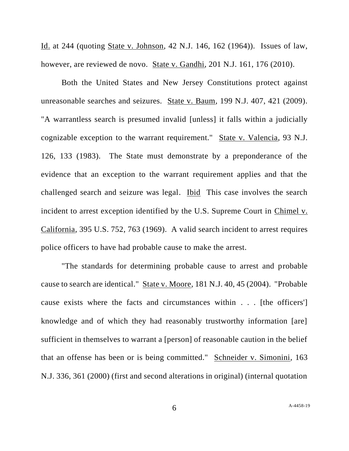Id. at 244 (quoting State v. Johnson, 42 N.J. 146, 162 (1964)). Issues of law, however, are reviewed de novo. State v. Gandhi, 201 N.J. 161, 176 (2010).

Both the United States and New Jersey Constitutions protect against unreasonable searches and seizures. State v. Baum, 199 N.J. 407, 421 (2009). "A warrantless search is presumed invalid [unless] it falls within a judicially cognizable exception to the warrant requirement." State v. Valencia, 93 N.J. 126, 133 (1983). The State must demonstrate by a preponderance of the evidence that an exception to the warrant requirement applies and that the challenged search and seizure was legal. Ibid This case involves the search incident to arrest exception identified by the U.S. Supreme Court in Chimel v. California, 395 U.S. 752, 763 (1969). A valid search incident to arrest requires police officers to have had probable cause to make the arrest.

"The standards for determining probable cause to arrest and probable cause to search are identical." State v. Moore, 181 N.J. 40, 45 (2004). "Probable cause exists where the facts and circumstances within . . . [the officers'] knowledge and of which they had reasonably trustworthy information [are] sufficient in themselves to warrant a [person] of reasonable caution in the belief that an offense has been or is being committed." Schneider v. Simonini, 163 N.J. 336, 361 (2000) (first and second alterations in original) (internal quotation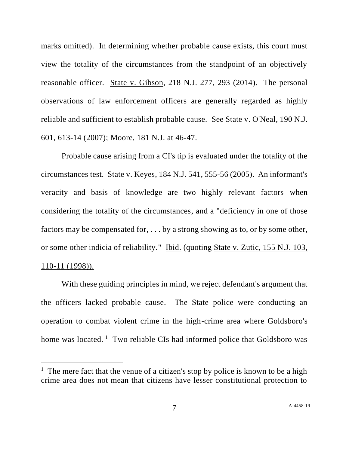marks omitted). In determining whether probable cause exists, this court must view the totality of the circumstances from the standpoint of an objectively reasonable officer. State v. Gibson, 218 N.J. 277, 293 (2014). The personal observations of law enforcement officers are generally regarded as highly reliable and sufficient to establish probable cause. See State v. O'Neal, 190 N.J. 601, 613-14 (2007); Moore, 181 N.J. at 46-47.

Probable cause arising from a CI's tip is evaluated under the totality of the circumstances test. State v. Keyes, 184 N.J. 541, 555-56 (2005). An informant's veracity and basis of knowledge are two highly relevant factors when considering the totality of the circumstances, and a "deficiency in one of those factors may be compensated for, . . . by a strong showing as to, or by some other, or some other indicia of reliability." Ibid. (quoting State v. Zutic, 155 N.J. 103, 110-11 (1998)).

With these guiding principles in mind, we reject defendant's argument that the officers lacked probable cause. The State police were conducting an operation to combat violent crime in the high-crime area where Goldsboro's home was located.  $\frac{1}{1}$  Two reliable CIs had informed police that Goldsboro was

<sup>&</sup>lt;sup>1</sup> The mere fact that the venue of a citizen's stop by police is known to be a high crime area does not mean that citizens have lesser constitutional protection to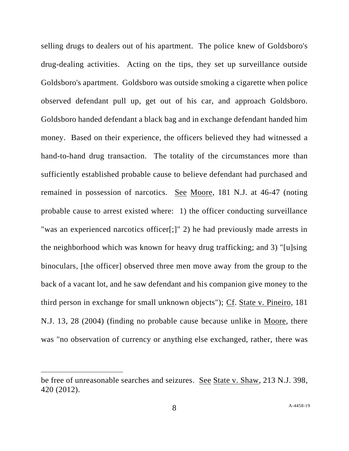selling drugs to dealers out of his apartment. The police knew of Goldsboro's drug-dealing activities. Acting on the tips, they set up surveillance outside Goldsboro's apartment. Goldsboro was outside smoking a cigarette when police observed defendant pull up, get out of his car, and approach Goldsboro. Goldsboro handed defendant a black bag and in exchange defendant handed him money. Based on their experience, the officers believed they had witnessed a hand-to-hand drug transaction. The totality of the circumstances more than sufficiently established probable cause to believe defendant had purchased and remained in possession of narcotics. See Moore, 181 N.J. at 46-47 (noting probable cause to arrest existed where: 1) the officer conducting surveillance "was an experienced narcotics officer[;]" 2) he had previously made arrests in the neighborhood which was known for heavy drug trafficking; and 3) "[u]sing binoculars, [the officer] observed three men move away from the group to the back of a vacant lot, and he saw defendant and his companion give money to the third person in exchange for small unknown objects"); Cf. State v. Pineiro, 181 N.J. 13, 28 (2004) (finding no probable cause because unlike in Moore, there was "no observation of currency or anything else exchanged, rather, there was

be free of unreasonable searches and seizures. See State v. Shaw, 213 N.J. 398, 420 (2012).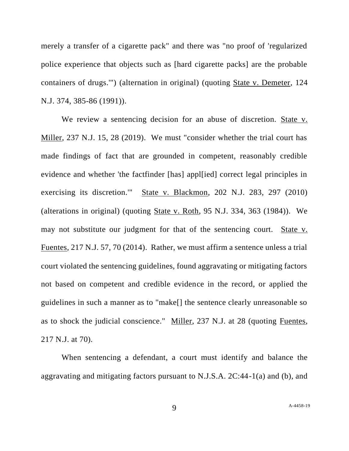merely a transfer of a cigarette pack" and there was "no proof of 'regularized police experience that objects such as [hard cigarette packs] are the probable containers of drugs.'") (alternation in original) (quoting State v. Demeter, 124 N.J. 374, 385-86 (1991)).

We review a sentencing decision for an abuse of discretion. State v. Miller, 237 N.J. 15, 28 (2019). We must "consider whether the trial court has made findings of fact that are grounded in competent, reasonably credible evidence and whether 'the factfinder [has] appl[ied] correct legal principles in exercising its discretion.'" State v. Blackmon, 202 N.J. 283, 297 (2010) (alterations in original) (quoting State v. Roth, 95 N.J. 334, 363 (1984)). We may not substitute our judgment for that of the sentencing court. State v. Fuentes, 217 N.J. 57, 70 (2014). Rather, we must affirm a sentence unless a trial court violated the sentencing guidelines, found aggravating or mitigating factors not based on competent and credible evidence in the record, or applied the guidelines in such a manner as to "make[] the sentence clearly unreasonable so as to shock the judicial conscience." Miller, 237 N.J. at 28 (quoting Fuentes, 217 N.J. at 70).

When sentencing a defendant, a court must identify and balance the aggravating and mitigating factors pursuant to N.J.S.A. 2C:44-1(a) and (b), and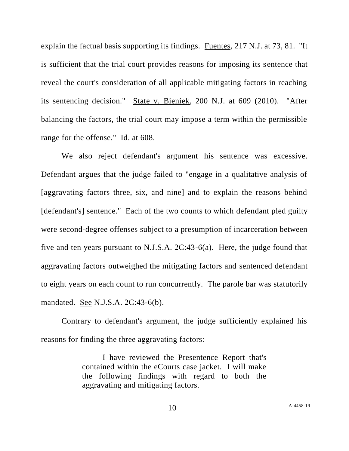explain the factual basis supporting its findings. Fuentes, 217 N.J. at 73, 81. "It is sufficient that the trial court provides reasons for imposing its sentence that reveal the court's consideration of all applicable mitigating factors in reaching its sentencing decision." State v. Bieniek, 200 N.J. at 609 (2010). "After balancing the factors, the trial court may impose a term within the permissible range for the offense." Id. at 608.

We also reject defendant's argument his sentence was excessive. Defendant argues that the judge failed to "engage in a qualitative analysis of [aggravating factors three, six, and nine] and to explain the reasons behind [defendant's] sentence." Each of the two counts to which defendant pled guilty were second-degree offenses subject to a presumption of incarceration between five and ten years pursuant to N.J.S.A. 2C:43-6(a). Here, the judge found that aggravating factors outweighed the mitigating factors and sentenced defendant to eight years on each count to run concurrently. The parole bar was statutorily mandated. See N.J.S.A. 2C:43-6(b).

Contrary to defendant's argument, the judge sufficiently explained his reasons for finding the three aggravating factors:

> I have reviewed the Presentence Report that's contained within the eCourts case jacket. I will make the following findings with regard to both the aggravating and mitigating factors.